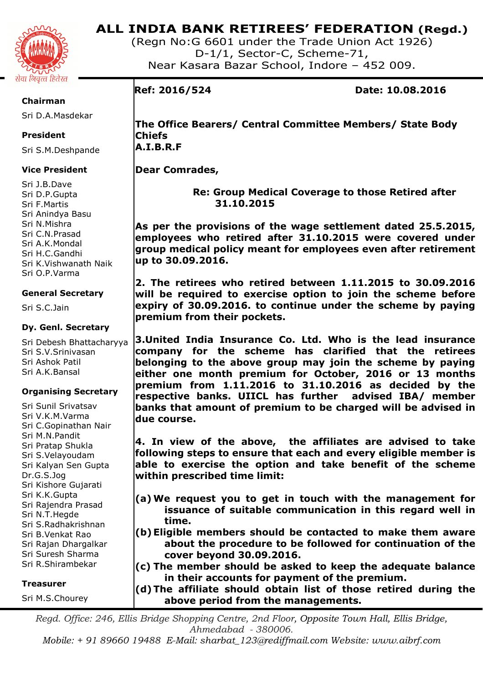

## **ALL INDIA BANK RETIREES' FEDERATION (Regd.)**

(Regn No:G 6601 under the Trade Union Act 1926) D-1/1, Sector-C, Scheme-71, Near Kasara Bazar School, Indore – 452 009.

## **Chairman**

Sri D.A.Masdekar

## **President**

Sri S.M.Deshpande

## **Vice President**

Sri J.B.Dave Sri D.P.Gupta Sri F.Martis Sri Anindya Basu Sri N.Mishra Sri C.N.Prasad Sri A.K.Mondal Sri H.C.Gandhi Sri K.Vishwanath Naik Sri O.P.Varma

## **General Secretary**

Sri S.C.Jain

## **Dy. Genl. Secretary**

Sri Debesh Bhattacharyya Sri S.V.Srinivasan Sri Ashok Patil Sri A.K.Bansal

## **Organising Secretary**

Sri Sunil Srivatsav Sri V.K.M.Varma Sri C.Gopinathan Nair Sri M.N.Pandit Sri Pratap Shukla Sri S.Velayoudam Sri Kalyan Sen Gupta Dr.G.S.Jog Sri Kishore Gujarati Sri K.K.Gupta Sri Rajendra Prasad Sri N.T.Hegde Sri S.Radhakrishnan Sri B.Venkat Rao Sri Rajan Dhargalkar Sri Suresh Sharma Sri R.Shirambekar

## **Treasurer**

Sri M.S.Chourey

**Ref: 2016/524 Date: 10.08.2016** 

**The Office Bearers/ Central Committee Members/ State Body Chiefs A.I.B.R.F** 

**Dear Comrades,** 

 **Re: Group Medical Coverage to those Retired after 31.10.2015** 

**As per the provisions of the wage settlement dated 25.5.2015, employees who retired after 31.10.2015 were covered under group medical policy meant for employees even after retirement up to 30.09.2016.** 

**2. The retirees who retired between 1.11.2015 to 30.09.2016 will be required to exercise option to join the scheme before expiry of 30.09.2016. to continue under the scheme by paying premium from their pockets.** 

**3.United India Insurance Co. Ltd. Who is the lead insurance company for the scheme has clarified that the retirees belonging to the above group may join the scheme by paying either one month premium for October, 2016 or 13 months premium from 1.11.2016 to 31.10.2016 as decided by the respective banks. UIICL has further advised IBA/ member banks that amount of premium to be charged will be advised in due course.** 

**4. In view of the above, the affiliates are advised to take following steps to ensure that each and every eligible member is able to exercise the option and take benefit of the scheme within prescribed time limit:** 

- **(a) We request you to get in touch with the management for issuance of suitable communication in this regard well in time.**
- **(b)Eligible members should be contacted to make them aware about the procedure to be followed for continuation of the cover beyond 30.09.2016.**
- **(c) The member should be asked to keep the adequate balance in their accounts for payment of the premium.**
- **(d)The affiliate should obtain list of those retired during the above period from the managements.**

*Regd. Office: 246, Ellis Bridge Shopping Centre, 2nd Floor, Opposite Town Hall, Ellis Bridge, Ahmedabad - 380006.* 

*Mobile: + 91 89660 19488 E-Mail: sharbat\_123@rediffmail.com Website: www.aibrf.com*